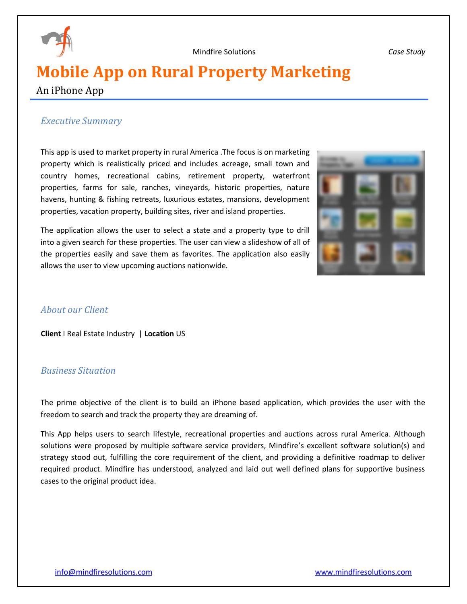

Mindfire Solutions *Case Study*

# **Mobile App on Rural Property Marketing**

### An iPhone App

#### *Executive Summary*

This app is used to market property in rural America .The focus is on marketing property which is realistically priced and includes acreage, small town and country homes, recreational cabins, retirement property, waterfront properties, farms for sale, ranches, vineyards, historic properties, nature havens, hunting & fishing retreats, luxurious estates, mansions, development properties, vacation property, building sites, river and island properties.

The application allows the user to select a state and a property type to drill into a given search for these properties. The user can view a slideshow of all of the properties easily and save them as favorites. The application also easily allows the user to view upcoming auctions nationwide.



#### *About our Client*

**Client** I Real Estate Industry| **Location** US

#### *Business Situation*

The prime objective of the client is to build an iPhone based application, which provides the user with the freedom to search and track the property they are dreaming of.

This App helps users to search lifestyle, recreational properties and auctions across rural America. Although solutions were proposed by multiple software service providers, Mindfire's excellent software solution(s) and strategy stood out, fulfilling the core requirement of the client, and providing a definitive roadmap to deliver required product. Mindfire has understood, analyzed and laid out well defined plans for supportive business cases to the original product idea.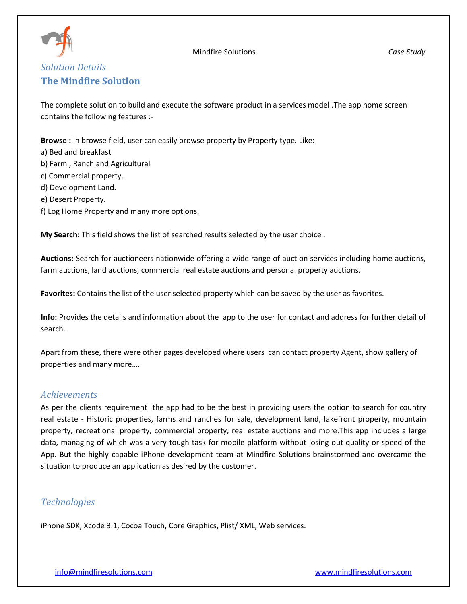

#### Mindfire Solutions *Case Study*

## *Solution Details* **The Mindfire Solution**

The complete solution to build and execute the software product in a services model .The app home screen contains the following features :-

**Browse :** In browse field, user can easily browse property by Property type. Like:

- a) Bed and breakfast
- b) Farm , Ranch and Agricultural
- c) Commercial property.
- d) Development Land.
- e) Desert Property.
- f) Log Home Property and many more options.

**My Search:** This field shows the list of searched results selected by the user choice .

**Auctions:** Search for auctioneers nationwide offering a wide range of auction services including home auctions, farm auctions, land auctions, commercial real estate auctions and personal property auctions.

**Favorites:** Contains the list of the user selected property which can be saved by the user as favorites.

**Info:** Provides the details and information about the app to the user for contact and address for further detail of search.

Apart from these, there were other pages developed where users can contact property Agent, show gallery of properties and many more….

#### *Achievements*

As per the clients requirement the app had to be the best in providing users the option to search for country real estate - Historic properties, farms and [ranches for sale,](http://www.unitedcountry.com/Ranches/Index.htm) [development land,](http://www.unitedcountry.com/DevelopmentLand) [lakefront property,](http://www.unitedcountry.com/LakeHomeProperty) [mountain](http://www.unitedcountry.com/MountainProperty)  [property,](http://www.unitedcountry.com/MountainProperty) [recreational property,](http://www.unitedcountry.com/RecreationalProperty) [commercial property,](http://www.unitedcountry.com/CommercialProperty) [real estate auctions](http://www.ucauctionservices.com/) and more.This app includes a large data, managing of which was a very tough task for mobile platform without losing out quality or speed of the App. But the highly capable iPhone development team at Mindfire Solutions brainstormed and overcame the situation to produce an application as desired by the customer.

### *Technologies*

iPhone SDK, Xcode 3.1, Cocoa Touch, Core Graphics, Plist/ XML, Web services.